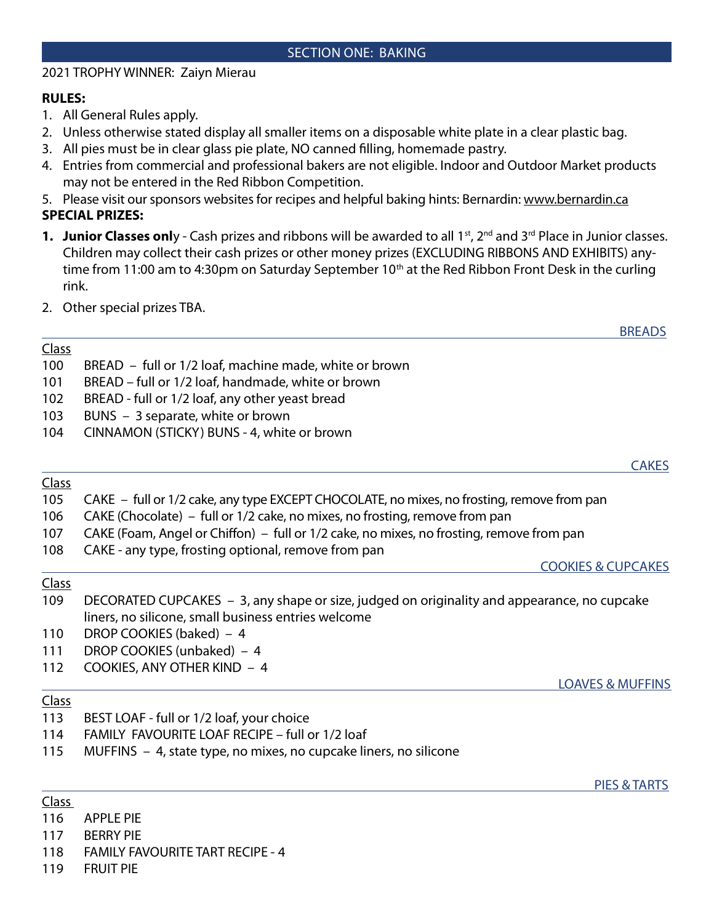## SECTION ONE: BAKING

## 2021 TROPHY WINNER: Zaiyn Mierau

## RULES:

- 1. All General Rules apply.
- 2. Unless otherwise stated display all smaller items on a disposable white plate in a clear plastic bag.
- 3. All pies must be in clear glass pie plate, NO canned filling, homemade pastry.
- 4. Entries from commercial and professional bakers are not eligible. Indoor and Outdoor Market products may not be entered in the Red Ribbon Competition.
- 5. Please visit our sponsors websites for recipes and helpful baking hints: Bernardin: www.bernardin.ca SPECIAL PRIZES:
- 1. Junior Classes only Cash prizes and ribbons will be awarded to all 1<sup>st</sup>, 2<sup>nd</sup> and 3<sup>rd</sup> Place in Junior classes. Children may collect their cash prizes or other money prizes (EXCLUDING RIBBONS AND EXHIBITS) anytime from 11:00 am to 4:30pm on Saturday September 10<sup>th</sup> at the Red Ribbon Front Desk in the curling rink.

<u>BREADS</u>

<u>CAKES</u>

2. Other special prizes TBA.

## Class

- 100 BREAD full or 1/2 loaf, machine made, white or brown
- 101 BREAD full or 1/2 loaf, handmade, white or brown
- 102 BREAD full or 1/2 loaf, any other yeast bread
- 103 BUNS 3 separate, white or brown
- 104 CINNAMON (STICKY) BUNS 4, white or brown

## Class

- 105 CAKE full or 1/2 cake, any type EXCEPT CHOCOLATE, no mixes, no frosting, remove from pan
- 106 CAKE (Chocolate) full or 1/2 cake, no mixes, no frosting, remove from pan
- 107 GAKE (Foam, Angel or Chiffon) full or 1/2 cake, no mixes, no frosting, remove from pan
- 108 CAKE any type, frosting optional, remove from pan

## Class

109 DECORATED CUPCAKES – 3, any shape or size, judged on originality and appearance, no cupcake liners, no silicone, small business entries welcome

<u>PIES & TARTS</u>

- 110 DROP COOKIES (baked) 4
- 111 DROP COOKIES (unbaked) 4
- 112 COOKIES, ANY OTHER KIND 4

## Class

- 113 BEST LOAF full or 1/2 loaf, your choice
- 114 FAMILY FAVOURITE LOAF RECIPE full or 1/2 loaf
- 115 MUFFINS 4, state type, no mixes, no cupcake liners, no silicone

Class

- 116 APPLE PIE
- 117 BERRY PIE
- 118 FAMILY FAVOURITE TART RECIPE 4
- 119 FRUIT PIE

# LOAVES & MUFFINS

COOKIES & CUPCAKES